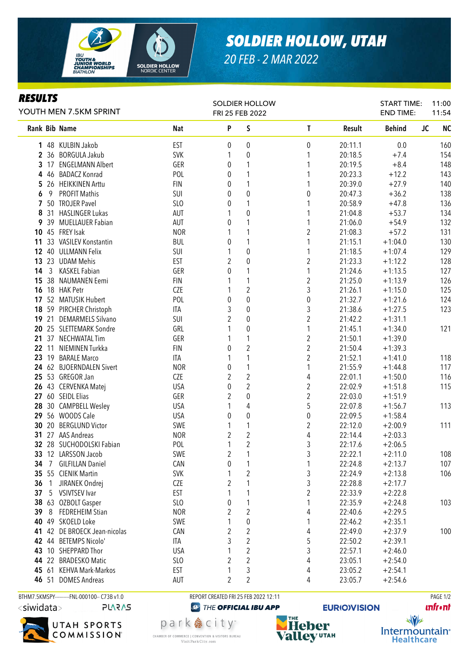

## *SOLDIER HOLLOW, UTAH*

*20 FEB - 2 MAR 2022*

## *RESULTS*

| YOUTH MEN 7.5KM SPRINT |                |                              |                 | <b>SOLDIER HOLLOW</b><br>FRI 25 FEB 2022 |                     |                |         | <b>START TIME:</b><br><b>END TIME:</b> | 11:00<br>11:54         |
|------------------------|----------------|------------------------------|-----------------|------------------------------------------|---------------------|----------------|---------|----------------------------------------|------------------------|
|                        |                | Rank Bib Name                | <b>Nat</b>      | P                                        | S                   | $\mathbf{T}$   | Result  | <b>Behind</b>                          | <b>JC</b><br><b>NC</b> |
|                        |                | 1 48 KULBIN Jakob            | <b>EST</b>      | 0                                        | 0                   | 0              | 20:11.1 | 0.0                                    | 160                    |
|                        |                | 2 36 BORGULA Jakub           | SVK             | 1                                        | 0                   | 1              | 20:18.5 | $+7.4$                                 | 154                    |
|                        |                | 3 17 ENGELMANN Albert        | GER             | 0                                        | 1                   | 1              | 20:19.5 | $+8.4$                                 | 148                    |
| 4                      |                | 46 BADACZ Konrad             | POL             | 0                                        | 1                   | 1              | 20:23.3 | $+12.2$                                | 143                    |
| 5                      |                | 26 HEIKKINEN Arttu           | <b>FIN</b>      | 0                                        | 1                   | 1              | 20:39.0 | $+27.9$                                | 140                    |
| 6                      | 9              | <b>PROFIT Mathis</b>         | SUI             | 0                                        | 0                   | 0              | 20:47.3 | $+36.2$                                | 138                    |
|                        |                | 7 50 TROJER Pavel            | SL <sub>0</sub> | 0                                        | 1                   |                | 20:58.9 | $+47.8$                                | 136                    |
| 8                      |                | 31 HASLINGER Lukas           | AUT             | 1                                        | 0                   | 1              | 21:04.8 | $+53.7$                                | 134                    |
| 9                      |                | 39 MUELLAUER Fabian          | AUT             | 0                                        | 1                   | 1              | 21:06.0 | $+54.9$                                | 132                    |
|                        |                | 10 45 FREY Isak              | <b>NOR</b>      | 1                                        | 1                   | 2              | 21:08.3 | $+57.2$                                | 131                    |
|                        |                | 11 33 VASILEV Konstantin     | <b>BUL</b>      | 0                                        | 1                   | 1              | 21:15.1 | $+1:04.0$                              | 130                    |
|                        |                | 12 40 ULLMANN Felix          | SUI             | 1                                        | 0                   | 1              | 21:18.5 | $+1:07.4$                              | 129                    |
|                        |                | 13 23 UDAM Mehis             | <b>EST</b>      | $\overline{2}$                           | $\pmb{0}$           | $\overline{2}$ | 21:23.3 | $+1:12.2$                              | 128                    |
| 14                     | $\mathfrak{Z}$ | KASKEL Fabian                | GER             | 0                                        | 1                   | 1              | 21:24.6 | $+1:13.5$                              | 127                    |
| 15                     |                | 38 NAUMANEN Eemi             | <b>FIN</b>      | 1                                        | 1                   | $\overline{2}$ | 21:25.0 | $+1:13.9$                              | 126                    |
|                        |                | <b>16</b> 18 HAK Petr        | <b>CZE</b>      | 1                                        | $\overline{2}$      | 3              | 21:26.1 | $+1:15.0$                              | 125                    |
|                        |                | 17 52 MATUSIK Hubert         | POL             | 0                                        | $\mathbf 0$         | $\pmb{0}$      | 21:32.7 | $+1:21.6$                              | 124                    |
|                        |                | 18 59 PIRCHER Christoph      | ITA             | 3                                        | 0                   | 3              | 21:38.6 | $+1:27.5$                              | 123                    |
|                        |                | 19 21 DEMARMELS Silvano      | SUI             | 2                                        | 0                   | $\overline{2}$ | 21:42.2 | $+1:31.1$                              |                        |
|                        |                | 20 25 SLETTEMARK Sondre      | GRL             | 1                                        | 0                   | 1              | 21:45.1 | $+1:34.0$                              | 121                    |
|                        |                | 21 37 NECHWATAL Tim          | GER             | 1                                        | 1                   | $\overline{2}$ | 21:50.1 | $+1:39.0$                              |                        |
|                        |                | 22 11 NIEMINEN Turkka        | <b>FIN</b>      | 0                                        | $\overline{2}$      | $\overline{2}$ | 21:50.4 | $+1:39.3$                              |                        |
|                        |                | 23 19 BARALE Marco           | <b>ITA</b>      | 1                                        | 1                   | $\overline{2}$ | 21:52.1 | $+1:41.0$                              | 118                    |
|                        |                | 24 62 BJOERNDALEN Sivert     | <b>NOR</b>      | 0                                        | 1                   | 1              | 21:55.9 | $+1:44.8$                              | 117                    |
|                        |                | 25 53 GREGOR Jan             | CZE             | $\overline{2}$                           | $\overline{2}$      | 4              | 22:01.1 | $+1:50.0$                              | 116                    |
|                        |                | 26 43 CERVENKA Matej         | <b>USA</b>      | $\pmb{0}$                                | $\overline{2}$      | 2              | 22:02.9 | $+1:51.8$                              | 115                    |
|                        |                | 27 60 SEIDL Elias            | GER             | $\overline{2}$                           | 0                   | $\overline{c}$ | 22:03.0 | $+1:51.9$                              |                        |
| 28                     |                | 30 CAMPBELL Wesley           | <b>USA</b>      | 1                                        | 4                   | 5              | 22:07.8 | $+1:56.7$                              | 113                    |
|                        |                | 29 56 WOODS Cale             | <b>USA</b>      | $\boldsymbol{0}$                         | 0                   | 0              | 22:09.5 | $+1:58.4$                              |                        |
|                        |                | 30 20 BERGLUND Victor        | SWE             | 1                                        | 1                   | 2              | 22:12.0 | $+2:00.9$                              | 111                    |
|                        |                | 31 27 AAS Andreas            | <b>NOR</b>      | $\overline{2}$                           | $\overline{2}$      | 4              | 22:14.4 | $+2:03.3$                              |                        |
|                        |                | 32 28 SUCHODOLSKI Fabian     | POL             | 1                                        | $\overline{2}$      | 3              | 22:17.6 | $+2:06.5$                              |                        |
|                        |                | 33 12 LARSSON Jacob          | SWE             | $\sqrt{2}$                               | 1                   | $\sqrt{3}$     | 22:22.1 | $+2:11.0$                              | 108                    |
| 34                     |                | 7 GILFILLAN Daniel           | CAN             | $\pmb{0}$                                | 1                   | 1              | 22:24.8 | $+2:13.7$                              | 107                    |
|                        |                | 35 55 CIENIK Martin          | SVK             | $\mathbf{1}$                             | $\overline{c}$      | $\sqrt{3}$     | 22:24.9 | $+2:13.8$                              | 106                    |
| 36                     | 1              | JIRANEK Ondrej               | CZE             | $\overline{2}$                           | 1                   | $\mathfrak{Z}$ | 22:28.8 | $+2:17.7$                              |                        |
| 37                     |                | 5 VSIVTSEV Ivar              | <b>EST</b>      | 1                                        | 1                   | $\overline{c}$ | 22:33.9 | $+2:22.8$                              |                        |
| 38                     |                | 63 OZBOLT Gasper             | SLO             | 0                                        | 1<br>$\overline{2}$ | 1              | 22:35.9 | $+2:24.8$                              | 103                    |
| 39                     | 8              | <b>FEDREHEIM Stian</b>       | <b>NOR</b>      | 2                                        |                     | 4              | 22:40.6 | $+2:29.5$                              |                        |
|                        |                | 40 49 SKOELD Loke            | SWE             | $\mathbf{1}$                             | 0                   | 1              | 22:46.2 | $+2:35.1$                              |                        |
|                        |                | 41 42 DE BROECK Jean-nicolas | CAN             | $\overline{2}$                           | $\overline{2}$      | 4              | 22:49.0 | $+2:37.9$                              | 100                    |
|                        |                | 42 44 BETEMPS Nicolo'        | ITA             | 3                                        | $\overline{2}$      | 5              | 22:50.2 | $+2:39.1$                              |                        |
|                        |                | 43 10 SHEPPARD Thor          | <b>USA</b>      | 1                                        | 2<br>$\overline{2}$ | 3              | 22:57.1 | $+2:46.0$                              |                        |
|                        |                | 44 22 BRADESKO Matic         | SLO             | 2                                        |                     | 4              | 23:05.1 | $+2:54.0$                              |                        |
|                        |                | 45 61 KEHVA Mark-Markos      | EST             | 1                                        | 3                   | 4              | 23:05.2 | $+2:54.1$                              |                        |
|                        |                | 46 51 DOMES Andreas          | AUT             | $\overline{2}$                           | $\overline{2}$      | 4              | 23:05.7 | $+2:54.6$                              |                        |

BTHM7.5KMSPY---------FNL-000100-- C73B v1.0 REPORT CREATED FRI 25 FEB 2022 12:11 PAGE 1/2

**PLARAS** 



**@** THE OFFICIAL IBU APP

park 急 city<sup>®</sup>

CHAMBER OF COMMERCE | CONVENTION & VISITORS BUREAU

Visit Park City.com



**EURIO)VISION** 



Intermountain<sup>®</sup>

**Healthcare**